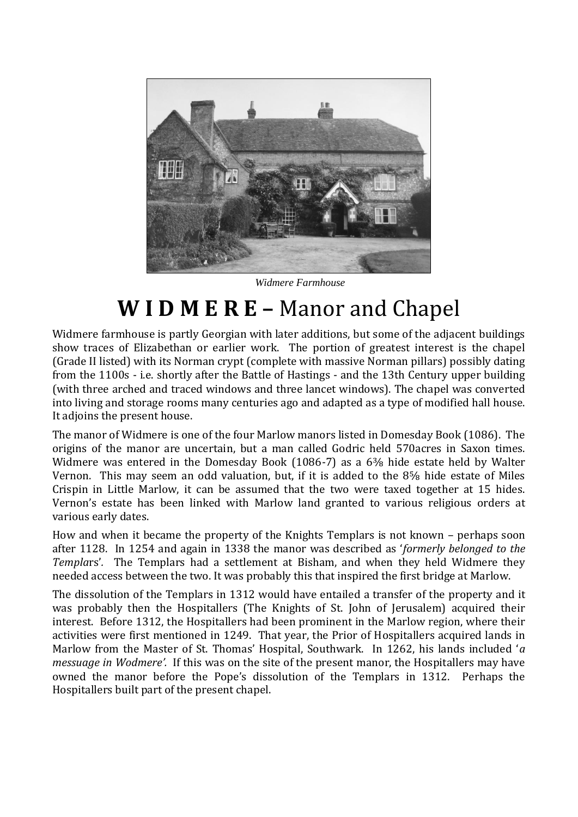

*Widmere Farmhouse*

## **W I D M E R E –** Manor and Chapel

Widmere farmhouse is partly Georgian with later additions, but some of the adjacent buildings show traces of Elizabethan or earlier work. The portion of greatest interest is the chapel (Grade II listed) with its Norman crypt (complete with massive Norman pillars) possibly dating from the 1100s - i.e. shortly after the Battle of Hastings - and the 13th Century upper building (with three arched and traced windows and three lancet windows). The chapel was converted into living and storage rooms many centuries ago and adapted as a type of modified hall house. It adjoins the present house.

The manor of Widmere is one of the four Marlow manors listed in Domesday Book (1086). The origins of the manor are uncertain, but a man called Godric held 570acres in Saxon times. Widmere was entered in the Domesday Book (1086-7) as a 6<sup>3</sup>% hide estate held by Walter Vernon. This may seem an odd valuation, but, if it is added to the 8⅝ hide estate of Miles Crispin in Little Marlow, it can be assumed that the two were taxed together at 15 hides. Vernon's estate has been linked with Marlow land granted to various religious orders at various early dates.

How and when it became the property of the Knights Templars is not known – perhaps soon after 1128. In 1254 and again in 1338 the manor was described as '*formerly belonged to the Templa*rs'*.* The Templars had a settlement at Bisham, and when they held Widmere they needed access between the two. It was probably this that inspired the first bridge at Marlow.

The dissolution of the Templars in 1312 would have entailed a transfer of the property and it was probably then the Hospitallers (The Knights of St. John of Jerusalem) acquired their interest. Before 1312, the Hospitallers had been prominent in the Marlow region, where their activities were first mentioned in 1249. That year, the Prior of Hospitallers acquired lands in Marlow from the Master of St. Thomas' Hospital, Southwark. In 1262, his lands included '*a messuage in Wodmere'.* If this was on the site of the present manor, the Hospitallers may have owned the manor before the Pope's dissolution of the Templars in 1312. Perhaps the Hospitallers built part of the present chapel.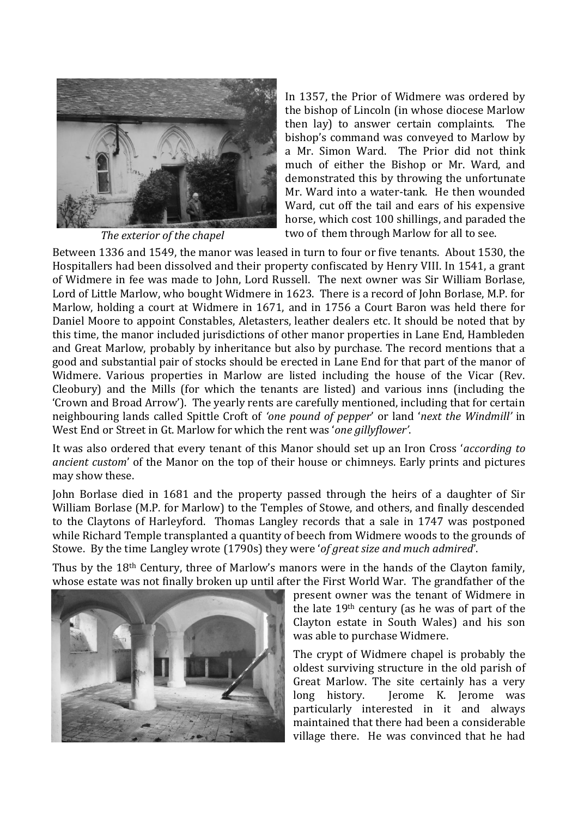

*The exterior of the chapel*

In 1357, the Prior of Widmere was ordered by the bishop of Lincoln (in whose diocese Marlow then lay) to answer certain complaints. The bishop's command was conveyed to Marlow by a Mr. Simon Ward. The Prior did not think much of either the Bishop or Mr. Ward, and demonstrated this by throwing the unfortunate Mr. Ward into a water-tank. He then wounded Ward, cut off the tail and ears of his expensive horse, which cost 100 shillings, and paraded the two of them through Marlow for all to see.

Between 1336 and 1549, the manor was leased in turn to four or five tenants. About 1530, the Hospitallers had been dissolved and their property confiscated by Henry VIII. In 1541, a grant of Widmere in fee was made to John, Lord Russell. The next owner was Sir William Borlase, Lord of Little Marlow, who bought Widmere in 1623. There is a record of John Borlase, M.P. for Marlow, holding a court at Widmere in 1671, and in 1756 a Court Baron was held there for Daniel Moore to appoint Constables, Aletasters, leather dealers etc. It should be noted that by this time, the manor included jurisdictions of other manor properties in Lane End, Hambleden and Great Marlow, probably by inheritance but also by purchase. The record mentions that a good and substantial pair of stocks should be erected in Lane End for that part of the manor of Widmere. Various properties in Marlow are listed including the house of the Vicar (Rev. Cleobury) and the Mills (for which the tenants are listed) and various inns (including the 'Crown and Broad Arrow'). The yearly rents are carefully mentioned, including that for certain neighbouring lands called Spittle Croft of *'one pound of pepper*' or land '*next the Windmill'* in West End or Street in Gt. Marlow for which the rent was '*one gillyflower'*.

It was also ordered that every tenant of this Manor should set up an Iron Cross '*according to ancient custom*' of the Manor on the top of their house or chimneys. Early prints and pictures may show these.

John Borlase died in 1681 and the property passed through the heirs of a daughter of Sir William Borlase (M.P. for Marlow) to the Temples of Stowe, and others, and finally descended to the Claytons of Harleyford. Thomas Langley records that a sale in 1747 was postponed while Richard Temple transplanted a quantity of beech from Widmere woods to the grounds of Stowe. By the time Langley wrote (1790s) they were '*of great size and much admired*'.

Thus by the 18th Century, three of Marlow's manors were in the hands of the Clayton family, whose estate was not finally broken up until after the First World War. The grandfather of the



present owner was the tenant of Widmere in the late 19th century (as he was of part of the Clayton estate in South Wales) and his son was able to purchase Widmere.

The crypt of Widmere chapel is probably the oldest surviving structure in the old parish of Great Marlow. The site certainly has a very long history. Jerome K. Jerome was particularly interested in it and always maintained that there had been a considerable village there. He was convinced that he had